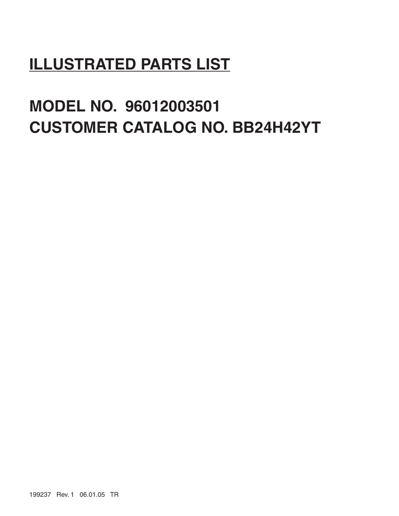## **ILLUSTRATED PARTS LIST**

# **MODEL NO. 96012003501 CUSTOMER CATALOG NO. BB24H42YT**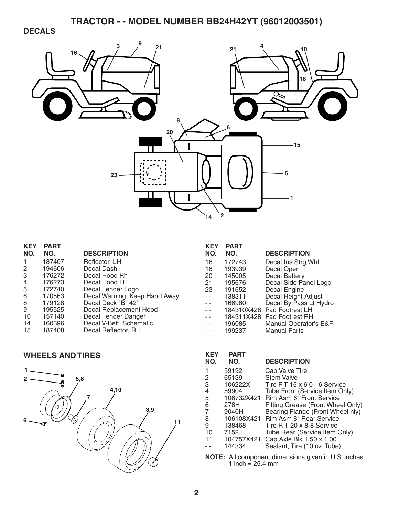## **DECALS**



| <b>KEY</b>     | <b>PART</b> |                               |
|----------------|-------------|-------------------------------|
| NO.            | NO.         | <b>DESCRIPTION</b>            |
|                | 187407      | Reflector, LH                 |
| 2              | 194606      | Decal Dash                    |
| 3              | 176272      | Decal Hood Rh                 |
| $\overline{4}$ | 176273      | Decal Hood LH                 |
| 5              | 172740      | Decal Fender Logo             |
| 6              | 170563      | Decal Warning, Keep Hand Away |
| 8              | 179128      | Decal Deck "B" 42"            |
| 9              | 195525      | Decal Replacement Hood        |
| 10             | 157140      | Decal Fender Danger           |
| 14             | 160396      | Decal V-Belt Schematic        |
| 15             | 187408      | Decal Reflector, RH           |
|                |             |                               |

| <b>WHEELS AND TIRES</b> |
|-------------------------|



| <b>KEY</b> | <b>PART</b> |                        |
|------------|-------------|------------------------|
| NO.        | NO.         | <b>DESCRIPTION</b>     |
| 16         | 172743      | Decal Ins Strg Whl     |
| 18         | 193939      | Decal Oper             |
| 20         | 145005      | <b>Decal Battery</b>   |
| 21         | 195676      | Decal Side Panel Logo  |
| 23         | 191652      | Decal Engine           |
|            | 138311      | Decal Height Adjust    |
|            | 166960      | Decal By Pass Lt Hydro |
|            | 184310X428  | Pad Footrest LH        |
|            | 184311X428  | Pad Footrest RH        |
|            | 196085      | Manual Operator's E&F  |
|            | 199237      | Manual Parts           |

| <b>KEY</b><br>NO. | <b>PART</b><br>NO. | <b>DESCRIPTION</b>                |
|-------------------|--------------------|-----------------------------------|
| 1                 | 59192              | Cap Valve Tire                    |
| 2                 | 65139              | <b>Stem Valve</b>                 |
| 3                 | 106222X            | Tire FT 15 x 6 0 - 6 Service      |
| 4                 | 59904              | Tube Front (Service Item Only)    |
| 5                 | 106732X421         | <b>Rim Asm 6" Front Service</b>   |
| 6                 | 278H               | Fitting Grease (Front Wheel Only) |
| 7                 | 9040H              | Bearing Flange (Front Wheel nly)  |
| 8                 | 106108X421         | Rim Asm 8" Rear Service           |
| 9                 | 138468             | Tire R T 20 x 8-8 Service         |
| 10                | 7152J              | Tube Rear (Service Item Only)     |
| 11                | 104757X421         | Cap Axle Blk 1 50 x 1 00          |
|                   | 144334             | Sealant, Tire (10 oz. Tube)       |
|                   |                    |                                   |

**NOTE:** All component dimensions given in U.S. inches 1 inch  $= 25.4$  mm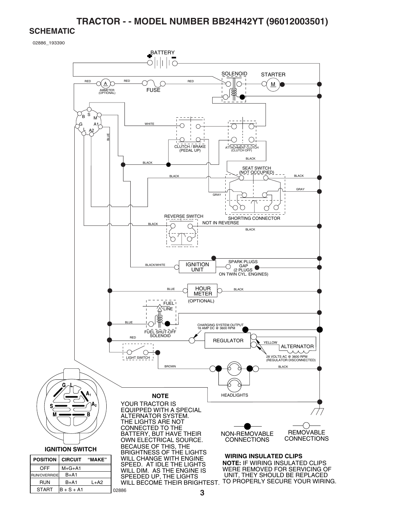#### **SCHEMATIC**

START  $\vert B + S + A1 \vert$ 

02886

02886\_193390

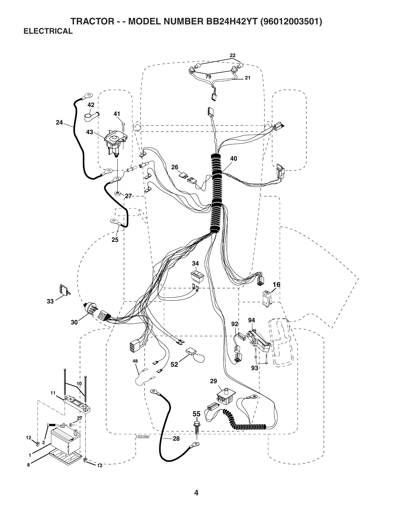**TRACTOR - - MODEL NUMBER BB24H42YT (96012003501) ELECTRICAL** 

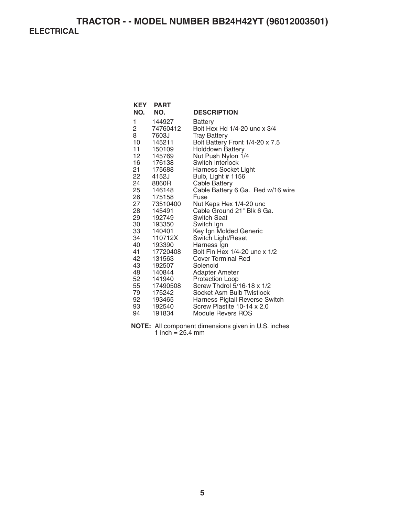## **TRACTOR - - MODEL NUMBER BB24H42YT (96012003501) ELECTRICAL**

| <b>KEY</b><br>NO.                                                                                                                    | <b>PART</b><br>NO.                                                                                                                                                                                                 | <b>DESCRIPTION</b>                                                                                                                                                                                                                                                                                                                                                                                                                                                                                                  |
|--------------------------------------------------------------------------------------------------------------------------------------|--------------------------------------------------------------------------------------------------------------------------------------------------------------------------------------------------------------------|---------------------------------------------------------------------------------------------------------------------------------------------------------------------------------------------------------------------------------------------------------------------------------------------------------------------------------------------------------------------------------------------------------------------------------------------------------------------------------------------------------------------|
| 1<br>2<br>8<br>10<br>11<br>12 <sup>2</sup><br>16<br>21<br>22<br>24<br>25<br>26<br>27<br>28<br>29<br>30<br>33<br>34<br>40<br>41<br>42 | 144927<br>74760412<br>7603J<br>145211<br>150109<br>145769<br>176138<br>175688<br>4152J<br>8860R<br>146148<br>175158<br>73510400<br>145491<br>192749<br>193350<br>140401<br>110712X<br>193390<br>17720408<br>131563 | Battery<br>Bolt Hex Hd 1/4-20 unc x 3/4<br><b>Tray Battery</b><br>Bolt Battery Front 1/4-20 x 7.5<br><b>Holddown Battery</b><br>Nut Push Nylon 1/4<br>Switch Interlock<br>Harness Socket Light<br>Bulb, Light # 1156<br><b>Cable Battery</b><br>Cable Battery 6 Ga. Red w/16 wire<br>Fuse<br>Nut Keps Hex 1/4-20 unc<br>Cable Ground 21" Blk 6 Ga.<br><b>Switch Seat</b><br>Switch Ign<br>Key Ign Molded Generic<br>Switch Light/Reset<br>Harness Ign<br>Bolt Fin Hex 1/4-20 unc x 1/2<br><b>Cover Terminal Red</b> |
| 43                                                                                                                                   | 192507                                                                                                                                                                                                             | Solenoid                                                                                                                                                                                                                                                                                                                                                                                                                                                                                                            |
| 48                                                                                                                                   | 140844                                                                                                                                                                                                             | <b>Adapter Ameter</b>                                                                                                                                                                                                                                                                                                                                                                                                                                                                                               |
| 52                                                                                                                                   | 141940                                                                                                                                                                                                             | Protection Loop                                                                                                                                                                                                                                                                                                                                                                                                                                                                                                     |
| 55                                                                                                                                   | 17490508                                                                                                                                                                                                           | Screw Thdrol 5/16-18 x 1/2                                                                                                                                                                                                                                                                                                                                                                                                                                                                                          |
| 79                                                                                                                                   | 175242                                                                                                                                                                                                             | Socket Asm Bulb Twistlock                                                                                                                                                                                                                                                                                                                                                                                                                                                                                           |
| 92                                                                                                                                   | 193465                                                                                                                                                                                                             | Harness Pigtail Reverse Switch                                                                                                                                                                                                                                                                                                                                                                                                                                                                                      |
| 93                                                                                                                                   | 192540                                                                                                                                                                                                             | Screw Plastite 10-14 x 2.0                                                                                                                                                                                                                                                                                                                                                                                                                                                                                          |
| 94                                                                                                                                   | 191834                                                                                                                                                                                                             | <b>Module Revers ROS</b>                                                                                                                                                                                                                                                                                                                                                                                                                                                                                            |

**NOTE:** All component dimensions given in U.S. inches 1 inch = 25.4 mm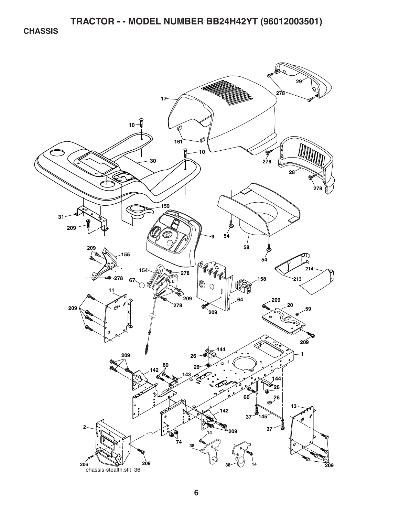**CHASSIS** 

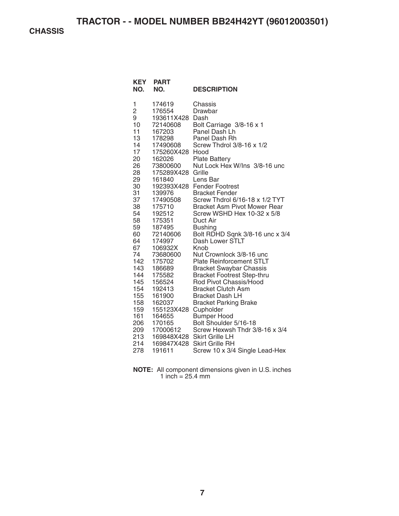**CHASSIS** 

| KEY<br>NO.                                                                                                                                                                                                                                  | <b>PART</b><br>NO.                                                                                                                                                                                                                                                                                                                                                                                          | <b>DESCRIPTION</b>                                                                                                                                                                                                                                                                                                                                                                                                                                                                                                                                                                                                                                                                                                                                                                                                                                                 |
|---------------------------------------------------------------------------------------------------------------------------------------------------------------------------------------------------------------------------------------------|-------------------------------------------------------------------------------------------------------------------------------------------------------------------------------------------------------------------------------------------------------------------------------------------------------------------------------------------------------------------------------------------------------------|--------------------------------------------------------------------------------------------------------------------------------------------------------------------------------------------------------------------------------------------------------------------------------------------------------------------------------------------------------------------------------------------------------------------------------------------------------------------------------------------------------------------------------------------------------------------------------------------------------------------------------------------------------------------------------------------------------------------------------------------------------------------------------------------------------------------------------------------------------------------|
| 1<br>$\overline{c}$<br>9<br>10<br>11<br>13<br>14<br>17<br>20<br>26<br>28<br>29<br>30<br>31<br>37<br>38<br>54<br>58<br>59<br>60<br>64<br>67<br>74<br>142<br>143<br>144<br>145<br>154<br>155<br>158<br>159<br>161<br>206<br>209<br>213<br>214 | 174619<br>176554<br>193611X428<br>72140608<br>167203<br>178298<br>17490608<br>175260X428<br>162026<br>73800600<br>175289X428<br>161840<br>139976<br>17490508<br>175710<br>192512<br>175351<br>187495<br>72140606<br>174997<br>106932X<br>73680600<br>175702<br>186689<br>175582<br>156524<br>192413<br>161900<br>162037<br>155123X428 Cupholder<br>164655<br>170165<br>17000612<br>169848X428<br>169847X428 | Chassis<br>Drawbar<br>Dash<br>Bolt Carriage 3/8-16 x 1<br>Panel Dash Lh<br>Panel Dash Rh<br>Screw Thdrol 3/8-16 x 1/2<br>Hood<br><b>Plate Battery</b><br>Nut Lock Hex W/Ins 3/8-16 unc<br>Grille<br>Lens Bar<br>192393X428 Fender Footrest<br><b>Bracket Fender</b><br>Screw Thdrol 6/16-18 x 1/2 TYT<br><b>Bracket Asm Pivot Mower Rear</b><br>Screw WSHD Hex 10-32 x 5/8<br>Duct Air<br><b>Bushing</b><br>Bolt RDHD Sqnk 3/8-16 unc x 3/4<br>Dash Lower STLT<br>Knob<br>Nut Crownlock 3/8-16 unc<br><b>Plate Reinforcement STLT</b><br><b>Bracket Swaybar Chassis</b><br><b>Bracket Footrest Step-thru</b><br>Rod Pivot Chassis/Hood<br><b>Bracket Clutch Asm</b><br><b>Bracket Dash LH</b><br><b>Bracket Parking Brake</b><br><b>Bumper Hood</b><br>Bolt Shoulder 5/16-18<br>Screw Hexwsh Thdr 3/8-16 x 3/4<br><b>Skirt Grille LH</b><br><b>Skirt Grille RH</b> |
| 278                                                                                                                                                                                                                                         | 191611                                                                                                                                                                                                                                                                                                                                                                                                      | Screw 10 x 3/4 Single Lead-Hex                                                                                                                                                                                                                                                                                                                                                                                                                                                                                                                                                                                                                                                                                                                                                                                                                                     |

**NOTE:** All component dimensions given in U.S. inches 1 inch  $= 25.4$  mm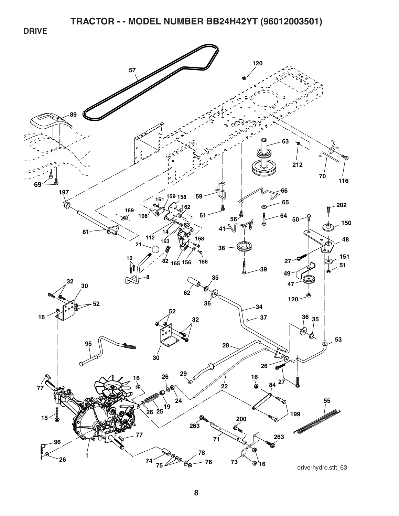**DRIVE** 

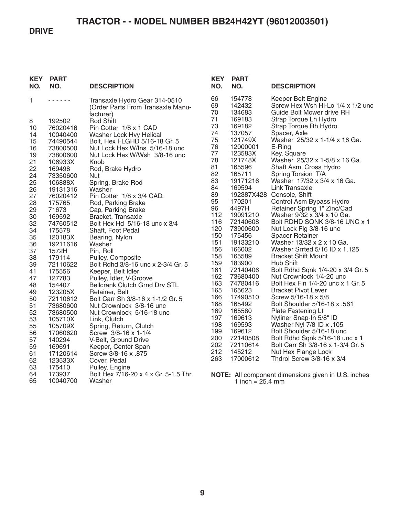#### **DRIVE**

| <b>KEY</b><br>NO. | <b>PART</b><br>NO.  | <b>DESCRIPTION</b>                                  | <b>KEY</b><br>NO. | <b>PART</b><br>NO.         | <b>DESCRIPTION</b>                                            |
|-------------------|---------------------|-----------------------------------------------------|-------------------|----------------------------|---------------------------------------------------------------|
| 1                 | .                   | Transaxle Hydro Gear 314-0510                       | 66                | 154778                     | Keeper Belt Engine                                            |
|                   |                     | (Order Parts From Transaxle Manu-                   | 69                | 142432                     | Screw Hex Wsh Hi-Lo 1/4 x 1/2 und                             |
|                   |                     | facturer)                                           | 70<br>71          | 134683<br>169183           | Guide Bolt Mower drive RH                                     |
| 8                 | 192502              | <b>Rod Shift</b>                                    | 73                | 169182                     | Strap Torque Lh Hydro<br>Strap Torque Rh Hydro                |
| 10                | 76020416            | Pin Cotter 1/8 x 1 CAD                              | 74                | 137057                     | Spacer, Axle                                                  |
| 14                | 10040400            | Washer Lock Hvy Helical                             | 75                | 121749X                    | Washer 25/32 x 1-1/4 x 16 Ga.                                 |
| 15                | 74490544            | Bolt, Hex FLGHD 5/16-18 Gr. 5                       | 76                | 12000001                   | E-Ring                                                        |
| 16<br>19          | 73800500            | Nut Lock Hex W/Ins 5/16-18 unc                      | 77                | 123583X                    | Key, Square                                                   |
| 21                | 73800600<br>106933X | Nut Lock Hex W/Wsh 3/8-16 unc<br>Knob               | 78                | 121748X                    | Washer 25/32 x 1-5/8 x 16 Ga.                                 |
| 22                | 169498              | Rod, Brake Hydro                                    | 81                | 165596                     | Shaft Asm. Cross Hydro                                        |
| 24                | 73350600            | Nut                                                 | 82                | 165711                     | Spring Torsion T/A                                            |
| 25                | 106888X             | Spring, Brake Rod                                   | 83                | 19171216                   | Washer 17/32 x 3/4 x 16 Ga.                                   |
| 26                | 19131316            | Washer                                              | 84                | 169594                     | Link Transaxle                                                |
| 27                | 76020412            | Pin Cotter 1/8 x 3/4 CAD.                           | 89                |                            | 192387X428 Console, Shift                                     |
| 28                | 175765              | Rod, Parking Brake                                  | 95                | 170201                     | Control Asm Bypass Hydro                                      |
| 29                | 71673               | Cap, Parking Brake                                  | 96                | 4497H                      | Retainer Spring 1" Zinc/Cad                                   |
| 30                | 169592              | Bracket, Transaxle                                  | 112               | 19091210                   | Washer 9/32 x 3/4 x 10 Ga.                                    |
| 32                | 74760512            | Bolt Hex Hd 5/16-18 unc x 3/4                       | 116               | 72140608                   | Bolt RDHD SQNK 3/8-16 UNC x 1                                 |
| 34                | 175578              | Shaft, Foot Pedal                                   | 120               | 73900600                   | Nut Lock Flg 3/8-16 unc                                       |
| 35                | 120183X             | Bearing, Nylon                                      | 150               | 175456                     | <b>Spacer Retainer</b>                                        |
| 36                | 19211616            | Washer                                              | 151               | 19133210                   | Washer 13/32 x 2 x 10 Ga.                                     |
| 37                | 1572H               | Pin, Roll                                           | 156               | 166002                     | Washer Srrted 5/16 ID x 1.125                                 |
| 38                | 179114              | Pulley, Composite                                   | 158               | 165589                     | <b>Bracket Shift Mount</b>                                    |
| 39                | 72110622            | Bolt Rdhd 3/8-16 unc x 2-3/4 Gr. 5                  | 159<br>161        | 183900                     | Hub Shift                                                     |
| 41                | 175556              | Keeper, Belt Idler                                  | 162               | 72140406<br>73680400       | Bolt Rdhd Sqnk 1/4-20 x 3/4 Gr. 5<br>Nut Crownlock 1/4-20 unc |
| 47                | 127783              | Pulley, Idler, V-Groove                             | 163               | 74780416                   | Bolt Hex Fin 1/4-20 unc x 1 Gr. 5                             |
| 48                | 154407              | Bellcrank Clutch Grnd Drv STL                       | 165               | 165623                     | <b>Bracket Pivot Lever</b>                                    |
| 49<br>50          | 123205X<br>72110612 | Retainer, Belt<br>Bolt Carr Sh 3/8-16 x 1-1/2 Gr. 5 | 166               | 17490510                   | Screw 5/16-18 x 5/8                                           |
| 51                | 73680600            | Nut Crownlock 3/8-16 unc                            | 168               | 165492                     | Bolt Shoulder 5/16-18 x .561                                  |
| 52                | 73680500            | Nut Crownlock 5/16-18 unc                           | 169               | 165580                     | Plate Fastening Lt                                            |
| 53                | 105710X             | Link, Clutch                                        | 197               | 169613                     | Nyliner Snap-In 5/8" ID                                       |
| 55                | 105709X             | Spring, Return, Clutch                              | 198               | 169593                     | Washer Nyl 7/8 ID x .105                                      |
| 56                | 17060620            | Screw 3/8-16 x 1-1/4                                | 199               | 169612                     | Bolt Shoulder 5/16-18 unc                                     |
| 57                | 140294              | V-Belt, Ground Drive                                | 200               | 72140508                   | Bolt Rdhd Sqnk 5/16-18 unc x 1                                |
| 59                | 169691              | Keeper, Center Span                                 | 202               | 72110614                   | Bolt Carr Sh 3/8-16 x 1-3/4 Gr. 5                             |
| 61                | 17120614            | Screw 3/8-16 x .875                                 | 212               | 145212                     | Nut Hex Flange Lock                                           |
| 62                | 123533X             | Cover, Pedal                                        | 263               | 17000612                   | Thdrol Screw 3/8-16 x 3/4                                     |
| 63                | 175410              | Pulley, Engine                                      |                   |                            |                                                               |
| 64                | 173937              | Bolt Hex 7/16-20 x 4 x Gr. 5-1.5 Thr                |                   |                            | <b>NOTE:</b> All component dimensions given in U.S. inches    |
| 65                | 10040700            | Washer                                              |                   | 1 inch = $25.4 \text{ mm}$ |                                                               |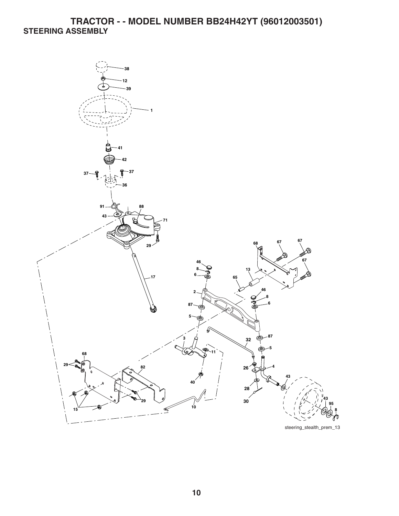## **TRACTOR - - MODEL NUMBER BB24H42YT (96012003501) STEERING ASSEMBLY**



steering\_stealth\_prem\_13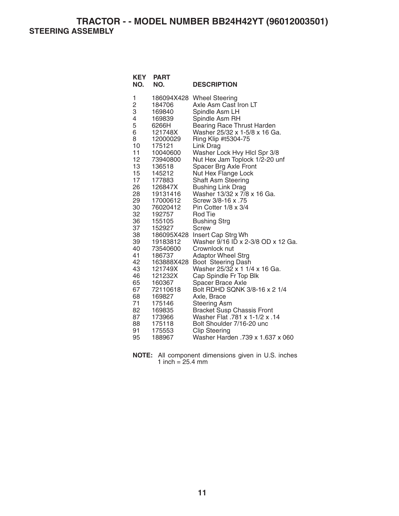**TRACTOR - - MODEL NUMBER BB24H42YT (96012003501) STEERING ASSEMBLY** 

| <b>KEY</b><br>NO.                                                                                                                                                                                             | <b>PART</b><br>NO.                                                                                                                                                                                                                                                                                                                                                                                    | <b>DESCRIPTION</b>                                                                                                                                                                                                                                                                                                                                                                                                                                                                                                                                                                                                                                                                                                                                                                                                                                                                                                                                                   |
|---------------------------------------------------------------------------------------------------------------------------------------------------------------------------------------------------------------|-------------------------------------------------------------------------------------------------------------------------------------------------------------------------------------------------------------------------------------------------------------------------------------------------------------------------------------------------------------------------------------------------------|----------------------------------------------------------------------------------------------------------------------------------------------------------------------------------------------------------------------------------------------------------------------------------------------------------------------------------------------------------------------------------------------------------------------------------------------------------------------------------------------------------------------------------------------------------------------------------------------------------------------------------------------------------------------------------------------------------------------------------------------------------------------------------------------------------------------------------------------------------------------------------------------------------------------------------------------------------------------|
| 1<br>2<br>3<br>4<br>5<br>6<br>8<br>10<br>11<br>12<br>13<br>15<br>17<br>26<br>28<br>29<br>30<br>32<br>36<br>37<br>38<br>39<br>40<br>41<br>42<br>43<br>46<br>65<br>67<br>68<br>71<br>82<br>87<br>88<br>91<br>95 | 186094X428<br>184706<br>169840<br>169839<br>6266H<br>121748X<br>12000029<br>175121<br>10040600<br>73940800<br>136518<br>145212<br>177883<br>126847X<br>19131416<br>17000612<br>76020412<br>192757<br>155105<br>152927<br>186095X428<br>19183812<br>73540600<br>186737<br>163888X428<br>121749X<br>121232X<br>160367<br>72110618<br>169827<br>175146<br>169835<br>173966<br>175118<br>175553<br>188967 | <b>Wheel Steering</b><br>Axle Asm Cast Iron LT<br>Spindle Asm LH<br>Spindle Asm RH<br><b>Bearing Race Thrust Harden</b><br>Washer 25/32 x 1-5/8 x 16 Ga.<br>Ring Klip #t5304-75<br>Link Drag<br>Washer Lock Hvy Hlcl Spr 3/8<br>Nut Hex Jam Toplock 1/2-20 unf<br>Spacer Brg Axle Front<br>Nut Hex Flange Lock<br><b>Shaft Asm Steering</b><br><b>Bushing Link Drag</b><br>Washer 13/32 x 7/8 x 16 Ga.<br>Screw 3/8-16 x .75<br>Pin Cotter $1/8 \times 3/4$<br>Rod Tie<br><b>Bushing Strg</b><br>Screw<br>Insert Cap Strg Wh<br>Washer 9/16 ID x 2-3/8 OD x 12 Ga.<br>Crownlock nut<br><b>Adaptor Wheel Strg</b><br>Boot Steering Dash<br>Washer 25/32 x 1 1/4 x 16 Ga.<br>Cap Spindle Fr Top Blk<br><b>Spacer Brace Axle</b><br>Bolt RDHD SQNK 3/8-16 x 2 1/4<br>Axle, Brace<br><b>Steering Asm</b><br><b>Bracket Susp Chassis Front</b><br>Washer Flat .781 x 1-1/2 x .14<br>Bolt Shoulder 7/16-20 unc<br><b>Clip Steering</b><br>Washer Harden .739 x 1.637 x 060 |

**NOTE:** All component dimensions given in U.S. inches 1 inch =  $25.4 \, \text{mm}$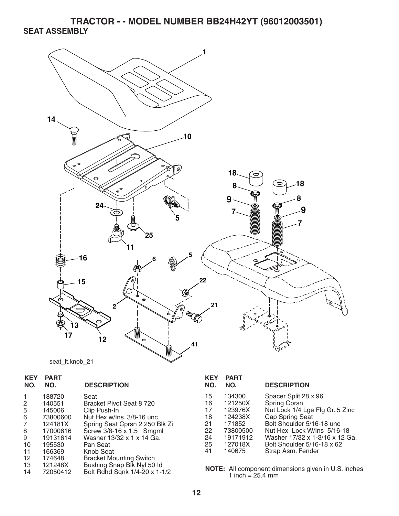**TRACTOR - - MODEL NUMBER BB24H42YT (96012003501) SEAT ASSEMBLY** 



| seat It.knob 21 |  |
|-----------------|--|
|                 |  |

| <b>KEY</b>                             | <b>PART</b>                                                                                   | <b>DESCRIPTION</b>                                                                                                                                                                                | <b>KEY</b>                                         |
|----------------------------------------|-----------------------------------------------------------------------------------------------|---------------------------------------------------------------------------------------------------------------------------------------------------------------------------------------------------|----------------------------------------------------|
| NO.                                    | NO.                                                                                           |                                                                                                                                                                                                   | NO.                                                |
| 2<br>5<br>6<br>7<br>8<br>9<br>10<br>11 | 188720<br>140551<br>145006<br>73800600<br>124181X<br>17000616<br>19131614<br>195530<br>166369 | Seat<br>Bracket Pivot Seat 8 720<br>Clip Push-In<br>Nut Hex w/Ins. 3/8-16 unc<br>Spring Seat Cprsn 2 250 Blk Zi<br>Screw 3/8-16 x 1.5 Smgml<br>Washer 13/32 x 1 x 14 Ga.<br>Pan Seat<br>Knob Seat | 15<br>16<br>17<br>18<br>21<br>22<br>24<br>25<br>41 |
| $12 \overline{ }$                      | 174648                                                                                        | <b>Bracket Mounting Switch</b>                                                                                                                                                                    | <b>NOTI</b>                                        |
| 13                                     | 121248X                                                                                       | Bushing Snap Blk Nyl 50 ld                                                                                                                                                                        |                                                    |
| 14                                     | 72050412                                                                                      | Bolt Rdhd Sqnk 1/4-20 x 1-1/2                                                                                                                                                                     |                                                    |

| KEY<br>NO. | <b>PART</b><br>NO. | <b>DESCRIPTION</b>              |
|------------|--------------------|---------------------------------|
| 15         | 134300             | Spacer Split 28 x 96            |
| 16         | 121250X            | Spring Cprsn                    |
| 17         | 123976X            | Nut Lock 1/4 Lge Flg Gr. 5 Zinc |
| 18         | 124238X            | <b>Cap Spring Seat</b>          |
| 21         | 171852             | Bolt Shoulder 5/16-18 unc       |
| 22         | 73800500           | Nut Hex Lock W/Ins 5/16-18      |
| 24         | 19171912           | Washer 17/32 x 1-3/16 x 12 Ga.  |
| 25         | 127018X            | Bolt Shoulder 5/16-18 x 62      |
| 41         | 140675             | Strap Asm. Fender               |

**NOTE:** All component dimensions given in U.S. inches 1 inch  $= 25.4$  mm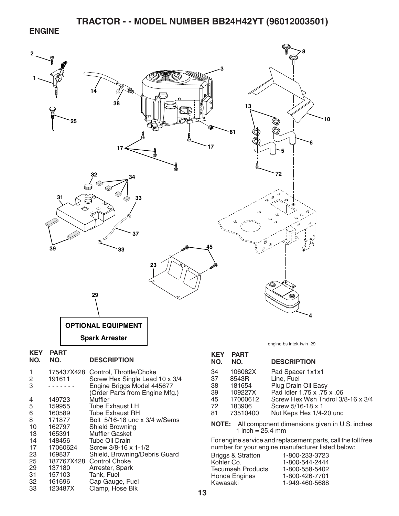#### **ENGINE**



- 31 157103 Tank, Fuel
- 32 161696 Cap Gauge, Fuel<br>33 123487X Clamp. Hose Blk Clamp, Hose Blk
- 
- 
- **NOTE:** All component dimensions given in U.S. inches

For engine service and replacement parts, call the toll free number for your engine manufacturer listed below:

| Briggs & Stratton | 1-800-233-3723 |
|-------------------|----------------|
| Kohler Co.        | 1-800-544-2444 |
| Tecumseh Products | 1-800-558-5402 |
| Honda Engines     | 1-800-426-7701 |
| Kawasaki          | 1-949-460-5688 |
|                   |                |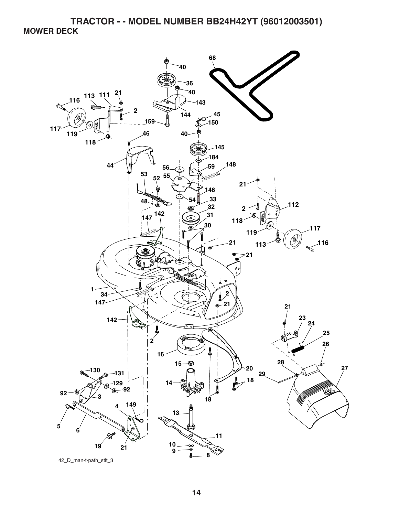**TRACTOR - - MODEL NUMBER BB24H42YT (96012003501) MOWER DECK** 

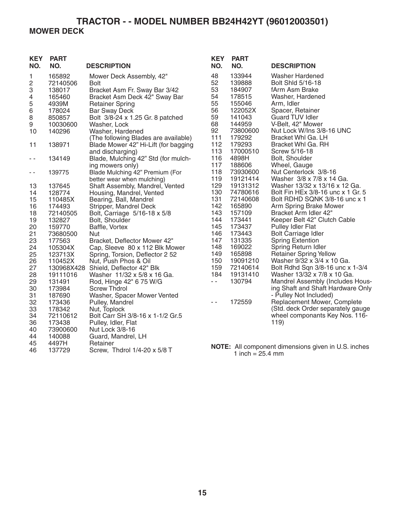## **TRACTOR - - MODEL NUMBER BB24H42YT (96012003501) MOWER DECK**

| <b>KEY</b><br>NO.       | <b>PART</b><br>NO. | <b>DESCRIPTION</b>                   | <b>KEY</b><br>NO. | <b>PART</b><br>NO.                                 | <b>DESCRIPTION</b>                                  |
|-------------------------|--------------------|--------------------------------------|-------------------|----------------------------------------------------|-----------------------------------------------------|
| 1                       | 165892             | Mower Deck Assembly, 42"             | 48                | 133944                                             | <b>Washer Hardened</b>                              |
| $\overline{\mathbf{c}}$ | 72140506           | Bolt                                 | 52                | 139888                                             | Bolt Shid 5/16-18                                   |
| 3                       | 138017             | Bracket Asm Fr. Sway Bar 3/42        | 53                | 184907                                             | fArm Asm Brake                                      |
| 4                       | 165460             | Bracket Asm Deck 42" Sway Bar        | 54                | 178515                                             | Washer, Hardened                                    |
| 5                       | 4939M              | <b>Retainer Spring</b>               | 55                | 155046                                             | Arm, Idler                                          |
| $\,$ 6 $\,$             | 178024             | <b>Bar Sway Deck</b>                 | 56                | 122052X                                            | Spacer, Retainer                                    |
| $\, 8$                  | 850857             | Bolt 3/8-24 x 1.25 Gr. 8 patched     | 59                | 141043                                             | Guard TUV Idler                                     |
| 9                       | 10030600           | Washer, Lock                         | 68                | 144959                                             | V-Belt, 42" Mower                                   |
| 10                      | 140296             | Washer, Hardened                     | 92                | 73800600                                           | Nut Lock W/Ins 3/8-16 UNC                           |
|                         |                    | (The following Blades are available) | 111               | 179292                                             | Bracket Whl Ga. LH                                  |
| 11                      | 138971             | Blade Mower 42" Hi-Lift (for bagging | 112               | 179293                                             | Bracket Whl Ga. RH                                  |
|                         |                    | and discharging)                     | 113               | 17000510                                           | Screw 5/16-18                                       |
| - -                     | 134149             | Blade, Mulching 42" Std (for mulch-  | 116               | 4898H                                              | Bolt, Shoulder                                      |
|                         |                    | ing mowers only)                     | 117               | 188606                                             | Wheel, Gauge                                        |
| - -                     | 139775             | Blade Mulching 42" Premium (For      | 118               | 73930600                                           | Nut Centerlock 3/8-16                               |
|                         |                    | better wear when mulching)           | 119               | 19121414                                           | Washer 3/8 x 7/8 x 14 Ga.                           |
| 13                      | 137645             | Shaft Assembly, Mandrel, Vented      | 129               | 19131312                                           | Washer 13/32 x 13/16 x 12 Ga.                       |
| 14                      | 128774             | Housing, Mandrel, Vented             | 130               | 74780616                                           | Bolt Fin HEx 3/8-16 unc x 1 Gr. 5                   |
| 15                      | 110485X            | Bearing, Ball, Mandrel               | 131               | 72140608                                           | Bolt RDHD SQNK 3/8-16 unc x 1                       |
| 16                      | 174493             | Stripper, Mandrel Deck               | 142               | 165890                                             | Arm Spring Brake Mower                              |
| 18                      | 72140505           | Bolt, Carriage 5/16-18 x 5/8         | 143               | 157109                                             | Bracket Arm Idler 42"                               |
| 19                      | 132827             | Bolt, Shoulder                       | 144               | 173441                                             | Keeper Belt 42" Clutch Cable                        |
| 20                      | 159770             | Baffle, Vortex                       | 145               | 173437                                             | <b>Pulley Idler Flat</b>                            |
| 21                      | 73680500           | Nut                                  | 146               | 173443                                             | <b>Bolt Carriage Idler</b>                          |
| 23                      | 177563             | Bracket, Deflector Mower 42"         | 147               | 131335                                             | <b>Spring Extention</b>                             |
| 24                      | 105304X            | Cap, Sleeve 80 x 112 Blk Mower       | 148               | 169022                                             | Spring Return Idler                                 |
| 25                      | 123713X            | Spring, Torsion, Deflector 2 52      | 149               | 165898                                             | <b>Retainer Spring Yellow</b>                       |
| 26                      | 110452X            | Nut, Push Phos & Oil                 | 150               | 19091210                                           | Washer 9/32 x 3/4 x 10 Ga.                          |
| 27                      |                    | 130968X428 Shield, Deflector 42" Blk | 159               | 72140614                                           | Bolt Rdhd Sqn 3/8-16 unc x 1-3/4                    |
| 28                      | 19111016           | Washer 11/32 x 5/8 x 16 Ga.          | 184               | 19131410                                           | Washer 13/32 x 7/8 x 10 Ga.                         |
| 29                      | 131491             | Rod, Hinge 42" 6 75 W/G              | $-$               | 130794                                             | Mandrel Assembly (Includes Hous-                    |
| 30                      | 173984             | <b>Screw Thdrol</b>                  |                   |                                                    | ing Shaft and Shaft Hardware Only                   |
| 31                      | 187690             | Washer, Spacer Mower Vented          |                   |                                                    | - Pulley Not Included)                              |
| 32                      | 173436             | Pulley, Mandrel                      | $\sim$ $\sim$     | 172559                                             | Replacement Mower, Complete                         |
| 33                      | 178342             | Nut, Toplock                         |                   |                                                    | (Std. deck Order separately gauge                   |
| 34                      | 72110612           | Bolt Carr SH 3/8-16 x 1-1/2 Gr.5     |                   |                                                    | wheel componants Key Nos. 116-                      |
| 36                      | 173438             | Pulley, Idler, Flat                  |                   |                                                    | 119)                                                |
| 40                      | 73900600           | Nut Lock 3/8-16                      |                   |                                                    |                                                     |
| 44                      | 140088             | Guard, Mandrel, LH                   |                   |                                                    |                                                     |
| 45                      | 4497H              | Retainer                             |                   |                                                    |                                                     |
| 46                      | 137729             | Screw, Thdrol 1/4-20 x 5/8 T         |                   | $\frac{1}{2}$ in $\frac{1}{2}$ OF $\frac{1}{2}$ mm | NOTE: All component dimensions given in U.S. inches |

**NOTE:** All component dimensions given in U.S. inches 1 inch  $= 25.4$  mm